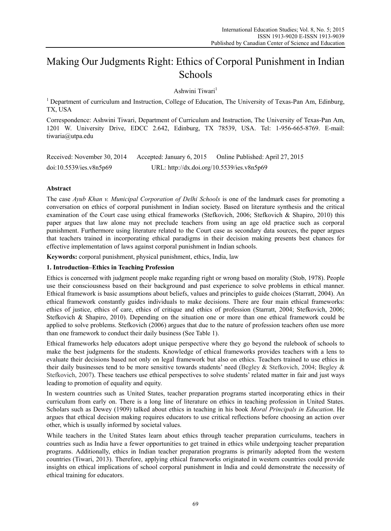# Making Our Judgments Right: Ethics of Corporal Punishment in Indian Schools

Ashwini Tiwari<sup>1</sup>

<sup>1</sup> Department of curriculum and Instruction, College of Education, The University of Texas-Pan Am, Edinburg, TX, USA

Correspondence: Ashwini Tiwari, Department of Curriculum and Instruction, The University of Texas-Pan Am, 1201 W. University Drive, EDCC 2.642, Edinburg, TX 78539, USA. Tel: 1-956-665-8769. E-mail: tiwaria@utpa.edu

| Received: November 30, 2014 | Accepted: January 6, 2015                  | Online Published: April 27, 2015 |
|-----------------------------|--------------------------------------------|----------------------------------|
| doi:10.5539/ies.v8n5p69     | URL: http://dx.doi.org/10.5539/ies.v8n5p69 |                                  |

# **Abstract**

The case *Ayub Khan v. Municipal Corporation of Delhi Schools* is one of the landmark cases for promoting a conversation on ethics of corporal punishment in Indian society. Based on literature synthesis and the critical examination of the Court case using ethical frameworks (Stefkovich, 2006; Stefkovich & Shapiro, 2010) this paper argues that law alone may not preclude teachers from using an age old practice such as corporal punishment. Furthermore using literature related to the Court case as secondary data sources, the paper argues that teachers trained in incorporating ethical paradigms in their decision making presents best chances for effective implementation of laws against corporal punishment in Indian schools.

**Keywords:** corporal punishment, physical punishment, ethics, India, law

# **1. Introduction–Ethics in Teaching Profession**

Ethics is concerned with judgment people make regarding right or wrong based on morality (Stob, 1978). People use their consciousness based on their background and past experience to solve problems in ethical manner. Ethical framework is basic assumptions about beliefs, values and principles to guide choices (Starratt, 2004). An ethical framework constantly guides individuals to make decisions. There are four main ethical frameworks: ethics of justice, ethics of care, ethics of critique and ethics of profession (Starratt, 2004; Stefkovich, 2006; Stefkovich & Shapiro, 2010). Depending on the situation one or more than one ethical framework could be applied to solve problems. Stefkovich (2006) argues that due to the nature of profession teachers often use more than one framework to conduct their daily business (See Table 1).

Ethical frameworks help educators adopt unique perspective where they go beyond the rulebook of schools to make the best judgments for the students. Knowledge of ethical frameworks provides teachers with a lens to evaluate their decisions based not only on legal framework but also on ethics. Teachers trained to use ethics in their daily businesses tend to be more sensitive towards students' need (Begley & Stefkovich, 2004; Begley & Stefkovich, 2007). These teachers use ethical perspectives to solve students' related matter in fair and just ways leading to promotion of equality and equity.

In western countries such as United States, teacher preparation programs started incorporating ethics in their curriculum from early on. There is a long line of literature on ethics in teaching profession in United States. Scholars such as Dewey (1909) talked about ethics in teaching in his book *Moral Principals in Education*. He argues that ethical decision making requires educators to use critical reflections before choosing an action over other, which is usually informed by societal values.

While teachers in the United States learn about ethics through teacher preparation curriculums, teachers in countries such as India have a fewer opportunities to get trained in ethics while undergoing teacher preparation programs. Additionally, ethics in Indian teacher preparation programs is primarily adopted from the western countries (Tiwari, 2013). Therefore, applying ethical frameworks originated in western countries could provide insights on ethical implications of school corporal punishment in India and could demonstrate the necessity of ethical training for educators.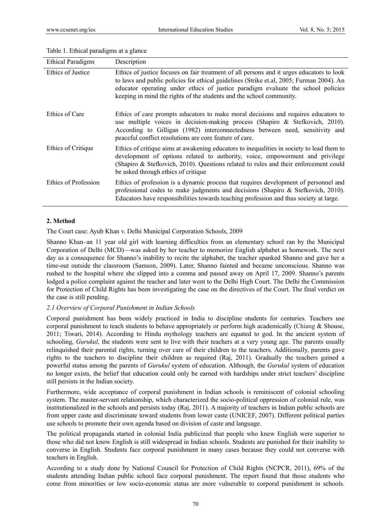| <b>Ethical Paradigms</b> | Description                                                                                                                                                                                                                                                                                                                                       |
|--------------------------|---------------------------------------------------------------------------------------------------------------------------------------------------------------------------------------------------------------------------------------------------------------------------------------------------------------------------------------------------|
| Ethics of Justice        | Ethics of justice focuses on fair treatment of all persons and it urges educators to look<br>to laws and public policies for ethical guidelines (Strike et.al, 2005; Furman 2004). An<br>educator operating under ethics of justice paradigm evaluate the school policies<br>keeping in mind the rights of the students and the school community. |
| Ethics of Care           | Ethics of care prompts educators to make moral decisions and requires educators to<br>use multiple voices in decision-making process (Shapiro & Stefkovich, 2010).<br>According to Gilligan (1982) interconnectedness between need, sensitivity and<br>peaceful conflict resolutions are core feature of care.                                    |
| Ethics of Critique       | Ethics of critique aims at awakening educators to inequalities in society to lead them to<br>development of options related to authority, voice, empowerment and privilege<br>(Shapiro & Stefkovich, 2010). Questions related to rules and their enforcement could<br>be asked through ethics of critique                                         |
| Ethics of Profession     | Ethics of profession is a dynamic process that requires development of personnel and<br>professional codes to make judgments and decisions (Shapiro & Stefkovich, 2010).<br>Educators have responsibilities towards teaching profession and thus society at large.                                                                                |

#### Table 1. Ethical paradigms at a glance

## **2. Method**

The Court case: Ayub Khan v. Delhi Municipal Corporation Schools, 2009

Shanno Khan–an 11 year old girl with learning difficulties from an elementary school ran by the Municipal Corporation of Delhi (MCD)—was asked by her teacher to memorize English alphabet as homework. The next day as a consequence for Shanno's inability to recite the alphabet, the teacher spanked Shanno and gave her a time-out outside the classroom (Samson, 2009). Later, Shanno fainted and became unconscious. Shanno was rushed to the hospital where she slipped into a comma and passed away on April 17, 2009. Shanno's parents lodged a police complaint against the teacher and later went to the Delhi High Court. The Delhi the Commission for Protection of Child Rights has been investigating the case on the directives of the Court. The final verdict on the case is still pending.

#### *2.1 Overview of Corporal Punishment in Indian Schools*

Corporal punishment has been widely practiced in India to discipline students for centuries. Teachers use corporal punishment to teach students to behave appropriately or perform high academically (Chiang & Shouse, 2011; Tiwari, 2014). According to Hindu mythology teachers are equated to god. In the ancient system of schooling, *Gurukul*, the students were sent to live with their teachers at a very young age. The parents usually relinquished their parental rights, turning over care of their children to the teachers. Additionally, parents gave rights to the teachers to discipline their children as required (Raj, 2011). Gradually the teachers gained a powerful status among the parents of *Gurukul* system of education. Although, the *Gurukul* system of education no longer exists, the belief that education could only be earned with hardships under strict teachers' discipline still persists in the Indian society.

Furthermore, wide acceptance of corporal punishment in Indian schools is reminiscent of colonial schooling system. The master-servant relationship, which characterized the socio-political oppression of colonial rule, was institutionalized in the schools and persists today (Raj, 2011). A majority of teachers in Indian public schools are from upper caste and discriminate toward students from lower caste (UNICEF, 2007). Different political parties use schools to promote their own agenda based on division of caste and language.

The political propaganda started in colonial India publicized that people who knew English were superior to those who did not know English is still widespread in Indian schools. Students are punished for their inability to converse in English. Students face corporal punishment in many cases because they could not converse with teachers in English.

According to a study done by National Council for Protection of Child Rights (NCPCR, 2011), 69% of the students attending Indian public school face corporal punishment. The report found that those students who come from minorities or low socio-economic status are more vulnerable to corporal punishment in schools.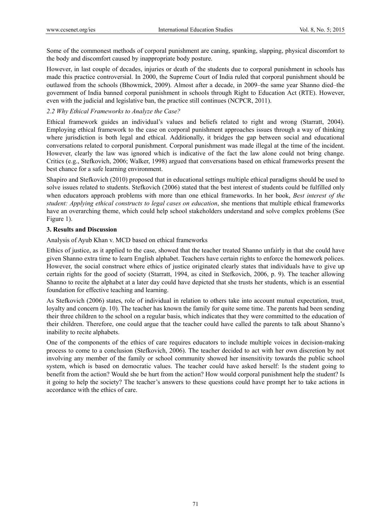Some of the commonest methods of corporal punishment are caning, spanking, slapping, physical discomfort to the body and discomfort caused by inappropriate body posture.

However, in last couple of decades, injuries or death of the students due to corporal punishment in schools has made this practice controversial. In 2000, the Supreme Court of India ruled that corporal punishment should be outlawed from the schools (Bhowmick, 2009). Almost after a decade, in 2009–the same year Shanno died–the government of India banned corporal punishment in schools through Right to Education Act (RTE). However, even with the judicial and legislative ban, the practice still continues (NCPCR, 2011).

## *2.2 Why Ethical Frameworks to Analyze the Case?*

Ethical framework guides an individual's values and beliefs related to right and wrong (Starratt, 2004). Employing ethical framework to the case on corporal punishment approaches issues through a way of thinking where jurisdiction is both legal and ethical. Additionally, it bridges the gap between social and educational conversations related to corporal punishment. Corporal punishment was made illegal at the time of the incident. However, clearly the law was ignored which is indicative of the fact the law alone could not bring change. Critics (e.g., Stefkovich, 2006; Walker, 1998) argued that conversations based on ethical frameworks present the best chance for a safe learning environment.

Shapiro and Stefkovich (2010) proposed that in educational settings multiple ethical paradigms should be used to solve issues related to students. Stefkovich (2006) stated that the best interest of students could be fulfilled only when educators approach problems with more than one ethical frameworks. In her book, *Best interest of the student: Applying ethical constructs to legal cases on education*, she mentions that multiple ethical frameworks have an overarching theme, which could help school stakeholders understand and solve complex problems (See Figure 1).

## **3. Results and Discussion**

Analysis of Ayub Khan v. MCD based on ethical frameworks

Ethics of justice, as it applied to the case, showed that the teacher treated Shanno unfairly in that she could have given Shanno extra time to learn English alphabet. Teachers have certain rights to enforce the homework polices. However, the social construct where ethics of justice originated clearly states that individuals have to give up certain rights for the good of society (Starratt, 1994, as cited in Stefkovich, 2006, p. 9). The teacher allowing Shanno to recite the alphabet at a later day could have depicted that she trusts her students, which is an essential foundation for effective teaching and learning.

As Stefkovich (2006) states, role of individual in relation to others take into account mutual expectation, trust, loyalty and concern (p. 10). The teacher has known the family for quite some time. The parents had been sending their three children to the school on a regular basis, which indicates that they were committed to the education of their children. Therefore, one could argue that the teacher could have called the parents to talk about Shanno's inability to recite alphabets.

One of the components of the ethics of care requires educators to include multiple voices in decision-making process to come to a conclusion (Stefkovich, 2006). The teacher decided to act with her own discretion by not involving any member of the family or school community showed her insensitivity towards the public school system, which is based on democratic values. The teacher could have asked herself: Is the student going to benefit from the action? Would she be hurt from the action? How would corporal punishment help the student? Is it going to help the society? The teacher's answers to these questions could have prompt her to take actions in accordance with the ethics of care.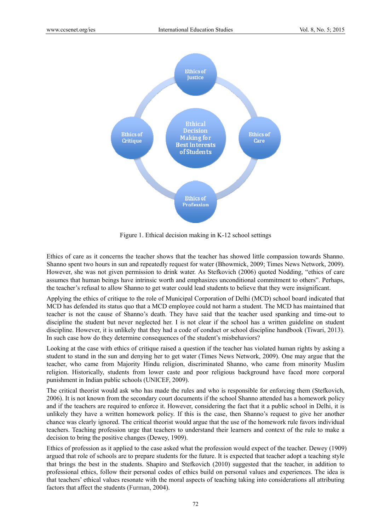

Figure 1. Ethical decision making in K-12 school settings

Ethics of care as it concerns the teacher shows that the teacher has showed little compassion towards Shanno. Shanno spent two hours in sun and repeatedly request for water (Bhowmick, 2009; Times News Network, 2009). However, she was not given permission to drink water. As Stefkovich (2006) quoted Nodding, "ethics of care assumes that human beings have intrinsic worth and emphasizes unconditional commitment to others". Perhaps, the teacher's refusal to allow Shanno to get water could lead students to believe that they were insignificant.

Applying the ethics of critique to the role of Municipal Corporation of Delhi (MCD) school board indicated that MCD has defended its status quo that a MCD employee could not harm a student. The MCD has maintained that teacher is not the cause of Shanno's death. They have said that the teacher used spanking and time-out to discipline the student but never neglected her. I is not clear if the school has a written guideline on student discipline. However, it is unlikely that they had a code of conduct or school discipline handbook (Tiwari, 2013). In such case how do they determine consequences of the student's misbehaviors?

Looking at the case with ethics of critique raised a question if the teacher has violated human rights by asking a student to stand in the sun and denying her to get water (Times News Network, 2009). One may argue that the teacher, who came from Majority Hindu religion, discriminated Shanno, who came from minority Muslim religion. Historically, students from lower caste and poor religious background have faced more corporal punishment in Indian public schools (UNICEF, 2009).

The critical theorist would ask who has made the rules and who is responsible for enforcing them (Stefkovich, 2006). It is not known from the secondary court documents if the school Shanno attended has a homework policy and if the teachers are required to enforce it. However, considering the fact that it a public school in Delhi, it is unlikely they have a written homework policy. If this is the case, then Shanno's request to give her another chance was clearly ignored. The critical theorist would argue that the use of the homework rule favors individual teachers. Teaching profession urge that teachers to understand their learners and context of the rule to make a decision to bring the positive changes (Dewey, 1909).

Ethics of profession as it applied to the case asked what the profession would expect of the teacher. Dewey (1909) argued that role of schools are to prepare students for the future. It is expected that teacher adopt a teaching style that brings the best in the students. Shapiro and Stefkovich (2010) suggested that the teacher, in addition to professional ethics, follow their personal codes of ethics build on personal values and experiences. The idea is that teachers' ethical values resonate with the moral aspects of teaching taking into considerations all attributing factors that affect the students (Furman, 2004).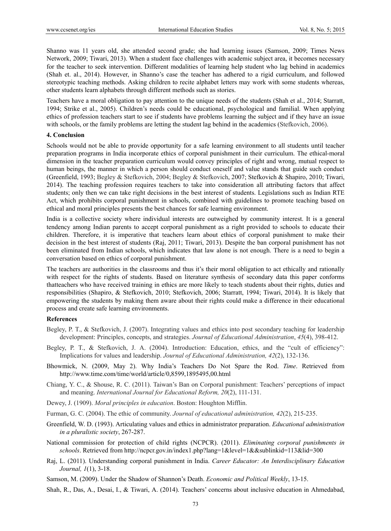Shanno was 11 years old, she attended second grade; she had learning issues (Samson, 2009; Times News Network, 2009; Tiwari, 2013). When a student face challenges with academic subject area, it becomes necessary for the teacher to seek intervention. Different modalities of learning help student who lag behind in academics (Shah et. al., 2014). However, in Shanno's case the teacher has adhered to a rigid curriculum, and followed stereotypic teaching methods. Asking children to recite alphabet letters may work with some students whereas, other students learn alphabets through different methods such as stories.

Teachers have a moral obligation to pay attention to the unique needs of the students (Shah et al., 2014; Starratt, 1994; Strike et al., 2005). Children's needs could be educational, psychological and familial. When applying ethics of profession teachers start to see if students have problems learning the subject and if they have an issue with schools, or the family problems are letting the student lag behind in the academics (Stefkovich, 2006).

#### **4. Conclusion**

Schools would not be able to provide opportunity for a safe learning environment to all students until teacher preparation programs in India incorporate ethics of corporal punishment in their curriculum. The ethical-moral dimension in the teacher preparation curriculum would convey principles of right and wrong, mutual respect to human beings, the manner in which a person should conduct oneself and value stands that guide such conduct (Greenfield, 1993; Begley & Stefkovich, 2004; Begley & Stefkovich, 2007; Stefkovich & Shapiro, 2010; Tiwari, 2014). The teaching profession requires teachers to take into consideration all attributing factors that affect students; only then we can take right decisions in the best interest of students. Legislations such as Indian RTE Act, which prohibits corporal punishment in schools, combined with guidelines to promote teaching based on ethical and moral principles presents the best chances for safe learning environment.

India is a collective society where individual interests are outweighed by community interest. It is a general tendency among Indian parents to accept corporal punishment as a right provided to schools to educate their children. Therefore, it is imperative that teachers learn about ethics of corporal punishment to make their decision in the best interest of students (Raj, 2011; Tiwari, 2013). Despite the ban corporal punishment has not been eliminated from Indian schools, which indicates that law alone is not enough. There is a need to begin a conversation based on ethics of corporal punishment.

The teachers are authorities in the classrooms and thus it's their moral obligation to act ethically and rationally with respect for the rights of students. Based on literature synthesis of secondary data this paper conforms thatteachers who have received training in ethics are more likely to teach students about their rights, duties and responsibilities (Shapiro, & Stefkovich, 2010; Stefkovich, 2006; Starratt, 1994; Tiwari, 2014). It is likely that empowering the students by making them aware about their rights could make a difference in their educational process and create safe learning environments.

#### **References**

- Begley, P. T., & Stefkovich, J. (2007). Integrating values and ethics into post secondary teaching for leadership development: Principles, concepts, and strategies. *Journal of Educational Administration*, *45*(4), 398-412.
- Begley, P. T., & Stefkovich, J. A. (2004). Introduction: Education, ethics, and the "cult of efficiency": Implications for values and leadership. *Journal of Educational Administration, 42*(2), 132-136.
- Bhowmick, N. (2009, May 2). Why India's Teachers Do Not Spare the Rod. *Time*. Retrieved from http://www.time.com/time/world/article/0,8599,1895495,00.html
- Chiang, Y. C., & Shouse, R. C. (2011). Taiwan's Ban on Corporal punishment: Teachers' perceptions of impact and meaning. *International Journal for Educational Reform, 20*(2), 111-131.
- Dewey, J. (1909). *Moral principles in education*. Boston: Houghton Mifflin.
- Furman, G. C. (2004). The ethic of community. *Journal of educational administration, 42*(2), 215-235.
- Greenfield, W. D. (1993). Articulating values and ethics in administrator preparation. *Educational administration in a pluralistic society*, 267-287.
- National commission for protection of child rights (NCPCR). (2011). *Eliminating corporal punishments in schools*. Retrieved from http://ncpcr.gov.in/index1.php?lang=1&level=1&&sublinkid=113&lid=300
- Raj, L. (2011). Understanding corporal punishment in India. *Career Educator: An Interdisciplinary Education Journal, 1*(1), 3-18.
- Samson, M. (2009). Under the Shadow of Shannon's Death. *Economic and Political Weekly*, 13-15.
- Shah, R., Das, A., Desai, I., & Tiwari, A. (2014). Teachers' concerns about inclusive education in Ahmedabad,